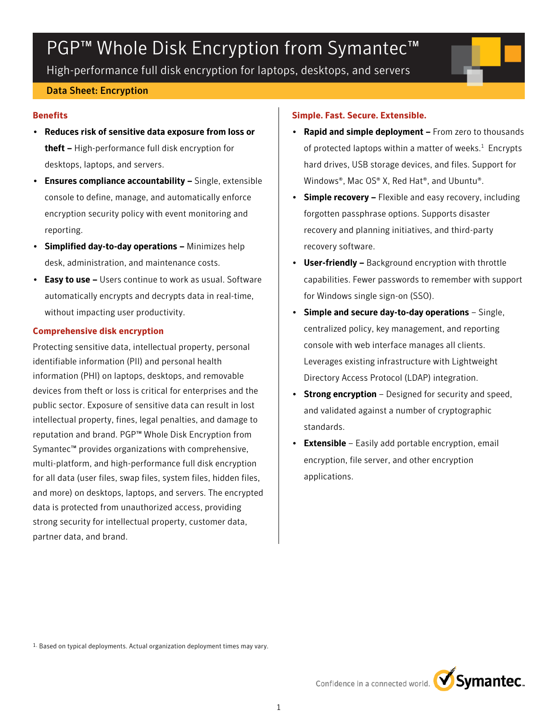# PGP<sup>™</sup> Whole Disk Encryption from Symantec<sup>™</sup>

High-performance full disk encryption for laptops, desktops, and servers

## Data Sheet: Encryption

### **Benefits**

- Reduces risk of sensitive data exposure from loss or theft - High-performance full disk encryption for desktops, laptops, and servers.
- Ensures compliance accountability Single, extensible console to define, manage, and automatically enforce encryption security policy with event monitoring and reporting.
- Simplified day-to-day operations Minimizes help desk, administration, and maintenance costs.
- Easy to use Users continue to work as usual. Software automatically encrypts and decrypts data in real-time, without impacting user productivity.

## **Comprehensive disk encryption**

Protecting sensitive data, intellectual property, personal identifiable information (PII) and personal health information (PHI) on laptops, desktops, and removable devices from theft or loss is critical for enterprises and the public sector. Exposure of sensitive data can result in lost intellectual property, fines, legal penalties, and damage to reputation and brand. PGP™ Whole Disk Encryption from Symantec™ provides organizations with comprehensive, multi-platform, and high-performance full disk encryption for all data (user files, swap files, system files, hidden files, and more) on desktops, laptops, and servers. The encrypted data is protected from unauthorized access, providing strong security for intellectual property, customer data, partner data, and brand.

## **Simple. Fast. Secure. Extensible.**

- Rapid and simple deployment From zero to thousands of protected laptops within a matter of weeks. $1$  Encrypts hard drives, USB storage devices, and files. Support for Windows®, Mac OS® X, Red Hat®, and Ubuntu®.
- Simple recovery Flexible and easy recovery, including forgotten passphrase options. Supports disaster recovery and planning initiatives, and third-party recovery software.
- User-friendly Background encryption with throttle capabilities. Fewer passwords to remember with support for Windows single sign-on (SSO).
- Simple and secure day-to-day operations Single, centralized policy, key management, and reporting console with web interface manages all clients. Leverages existing infrastructure with Lightweight Directory Access Protocol (LDAP) integration.
- **Strong encryption** Designed for security and speed, and validated against a number of cryptographic standards.
- **Extensible** Easily add portable encryption, email encryption, file server, and other encryption applications.

1. Based on typical deployments. Actual organization deployment times may vary.

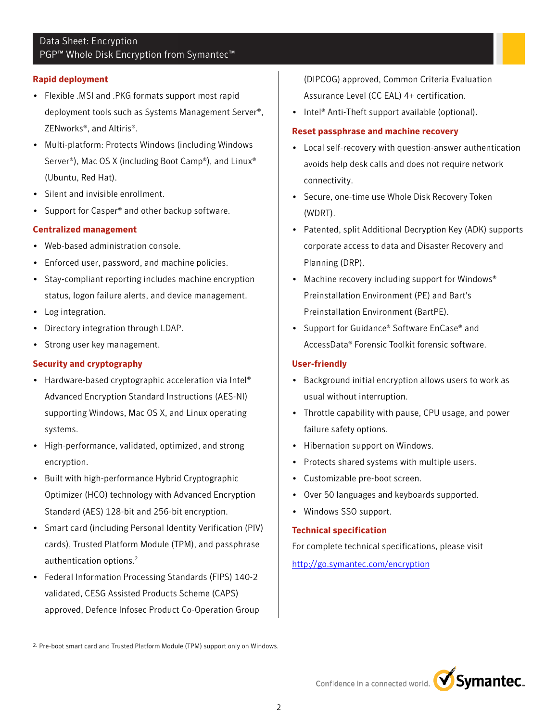# Data Sheet: Encryption PGP<sup>™</sup> Whole Disk Encryption from Symantec<sup>™</sup>

#### **Rapid deployment**

- Flexible .MSI and .PKG formats support most rapid deployment tools such as Systems Management Server®, ZENworks®, and Altiris®.
- Multi-platform: Protects Windows (including Windows Server®), Mac OS X (including Boot Camp®), and Linux® (Ubuntu, Red Hat).
- Silent and invisible enrollment.
- Support for Casper® and other backup software.

## **Centralized management**

- Web-based administration console.
- Enforced user, password, and machine policies.
- Stay-compliant reporting includes machine encryption status, logon failure alerts, and device management.
- Log integration.
- Directory integration through LDAP.
- Strong user key management.

## **Security and cryptography**

- Hardware-based cryptographic acceleration via Intel® Advanced Encryption Standard Instructions (AES-NI) supporting Windows, Mac OS X, and Linux operating systems.
- High-performance, validated, optimized, and strong encryption.
- Built with high-performance Hybrid Cryptographic Optimizer (HCO) technology with Advanced Encryption Standard (AES) 128-bit and 256-bit encryption.
- Smart card (including Personal Identity Verification (PIV) cards), Trusted Platform Module (TPM), and passphrase authentication options.<sup>2</sup>
- Federal Information Processing Standards (FIPS) 140-2 validated, CESG Assisted Products Scheme (CAPS) approved, Defence Infosec Product Co-Operation Group

(DIPCOG) approved, Common Criteria Evaluation Assurance Level (CC EAL) 4+ certification.

• Intel<sup>®</sup> Anti-Theft support available (optional).

## **Reset passphrase and machine recovery**

- Local self-recovery with question-answer authentication avoids help desk calls and does not require network connectivity.
- Secure, one-time use Whole Disk Recovery Token (WDRT).
- Patented, split Additional Decryption Key (ADK) supports corporate access to data and Disaster Recovery and Planning (DRP).
- Machine recovery including support for Windows<sup>®</sup> Preinstallation Environment (PE) and Bart's Preinstallation Environment (BartPE).
- Support for Guidance® Software EnCase® and AccessData® Forensic Toolkit forensic software.

## **User-friendly**

- Background initial encryption allows users to work as usual without interruption.
- Throttle capability with pause, CPU usage, and power failure safety options.
- Hibernation support on Windows.
- Protects shared systems with multiple users.
- Customizable pre-boot screen.
- Over 50 languages and keyboards supported.
- Windows SSO support.

## **Technical specification**

For complete technical specifications, please visit

<http://go.symantec.com/encryption>



<sup>2.</sup> Pre-boot smart card and Trusted Platform Module (TPM) support only on Windows.